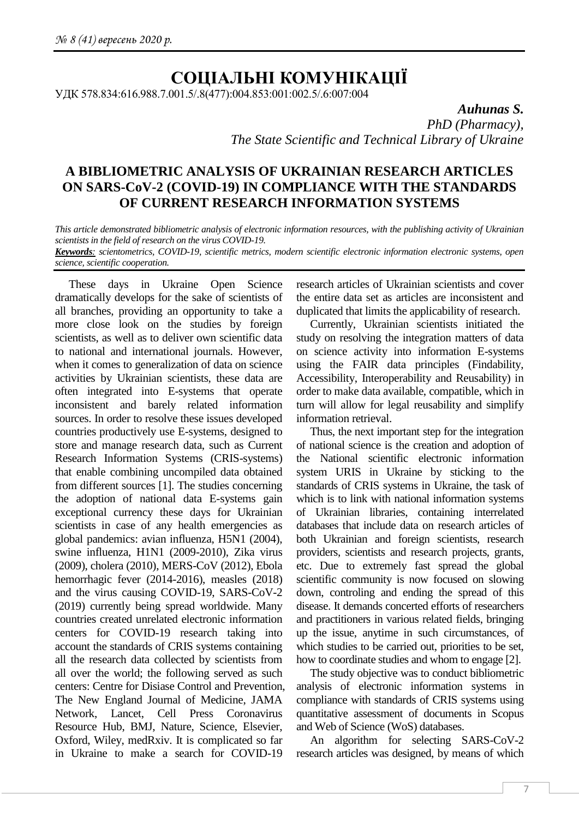# **СОЦІАЛЬНІ КОМУНІКАЦІЇ**

УДК 578.834:616.988.7.001.5/.8(477):004.853:001:002.5/.6:007:004

*Auhunas S.*

*PhD (Pharmacy), The State Scientific and Technical Library of Ukraine*

## **A BIBLIOMETRIC ANALYSIS OF UKRAINIAN RESEARCH ARTICLES ON SARS-CoV-2 (COVID-19) IN COMPLIANCE WITH THE STANDARDS OF CURRENT RESEARCH INFORMATION SYSTEMS**

*This article demonstrated bibliometric analysis of electronic information resources, with the publishing activity of Ukrainian scientists in the field of research on the virus COVID-19.*

*Keywords: scientometrics, COVID-19, scientific metrics, modern scientific electronic information electronic systems, open science, scientific cooperation.*

These days in Ukraine Open Science dramatically develops for the sake of scientists of all branches, providing an opportunity to take a more close look on the studies by foreign scientists, as well as to deliver own scientific data to national and international journals. However, when it comes to generalization of data on science activities by Ukrainian scientists, these data are often integrated into E-systems that operate inconsistent and barely related information sources. In order to resolve these issues developed countries productively use E-systems, designed to store and manage research data, such as Current Research Information Systems (CRIS-systems) that enable combining uncompiled data obtained from different sources [1]. The studies concerning the adoption of national data E-systems gain exceptional currency these days for Ukrainian scientists in case of any health emergencies as global pandemics: avian influenza, H5N1 (2004), swine influenza, H1N1 (2009-2010), Zika virus (2009), cholera (2010), MERS-CoV (2012), Ebola hemorrhagic fever (2014-2016), measles (2018) and the virus causing COVID-19, SARS-CoV-2 (2019) currently being spread worldwide. Many countries created unrelated electronic information centers for COVID-19 research taking into account the standards of CRIS systems containing all the research data collected by scientists from all over the world; the following served as such centers: Centre for Disiase Control and Prevention, The New England Journal of Medicine, JAMA Network, Lancet, Cell Press Coronavirus Resource Hub, BMJ, Nature, Science, Elsevier, Oxford, Wiley, medRxiv. It is complicated so far in Ukraine to make a search for COVID-19

research articles of Ukrainian scientists and cover the entire data set as articles are inconsistent and duplicated that limits the applicability of research.

Currently, Ukrainian scientists initiated the study on resolving the integration matters of data on science activity into information E-systems using the FAIR data principles (Findability, Accessibility, Interoperability and Reusability) in order to make data available, compatible, which in turn will allow for legal reusability and simplify information retrieval.

Thus, the next important step for the integration of national science is the creation and adoption of the National scientific electronic information system URIS in Ukraine by sticking to the standards of CRIS systems in Ukraine, the task of which is to link with national information systems of Ukrainian libraries, containing interrelated databases that include data on research articles of both Ukrainian and foreign scientists, research providers, scientists and research projects, grants, etc. Due to extremely fast spread the global scientific community is now focused on slowing down, controling and ending the spread of this disease. It demands concerted efforts of researchers and practitioners in various related fields, bringing up the issue, anytime in such circumstances, of which studies to be carried out, priorities to be set, how to coordinate studies and whom to engage [2].

The study objective was to conduct bibliometric analysis of electronic information systems in compliance with standards of CRIS systems using quantitative assessment of documents in Scopus and Web of Science (WoS) databases.

An algorithm for selecting SARS-CoV-2 research articles was designed, by means of which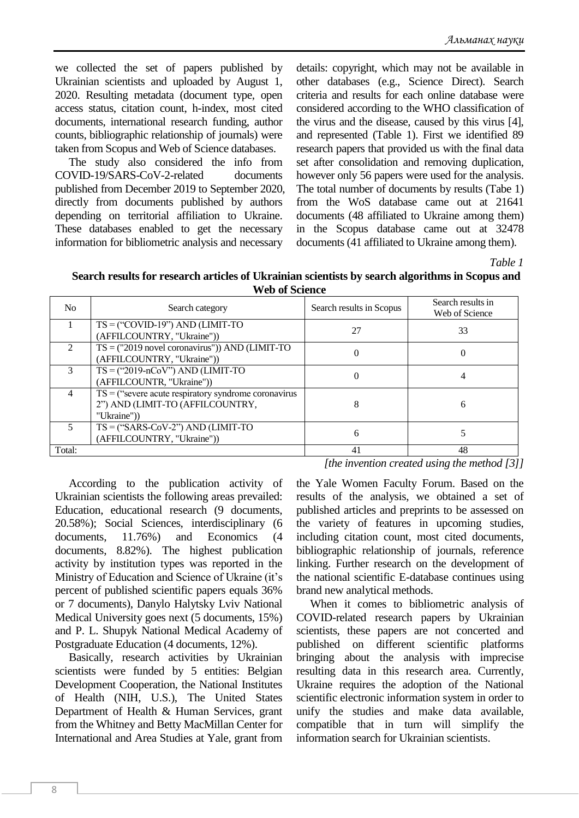we collected the set of papers published by Ukrainian scientists and uploaded by August 1, 2020. Resulting metadata (document type, open access status, citation count, h-index, most cited documents, international research funding, author counts, bibliographic relationship of journals) were taken from Scopus and Web of Science databases.

The study also considered the info from COVID-19/SARS-CoV-2-related documents published from December 2019 to September 2020, directly from documents published by authors depending on territorial affiliation to Ukraine. These databases enabled to get the necessary information for bibliometric analysis and necessary

details: copyright, which may not be available in other databases (e.g., Science Direct). Search criteria and results for each online database were considered according to the WHO classification of the virus and the disease, caused by this virus [4], and represented (Table 1). First we identified 89 research papers that provided us with the final data set after consolidation and removing duplication, however only 56 papers were used for the analysis. The total number of documents by results (Tabe 1) from the WoS database came out at 21641 documents (48 affiliated to Ukraine among them) in the Scopus database came out at 32478 documents (41 affiliated to Ukraine among them).

*Table 1*

**Search results for research articles of Ukrainian scientists by search algorithms in Scopus and Web of Science**

| N <sub>0</sub> | Search category                                                                                          | Search results in Scopus | Search results in<br>Web of Science |
|----------------|----------------------------------------------------------------------------------------------------------|--------------------------|-------------------------------------|
|                | $TS = ("COVID-19") AND (LIMIT-TO)$<br>(AFFILCOUNTRY, "Ukraine"))                                         | 27                       | 33                                  |
| $\mathfrak{D}$ | $TS = ("2019$ novel coronavirus")) AND (LIMIT-TO<br>(AFFILCOUNTRY, "Ukraine"))                           | $\theta$                 |                                     |
| 3              | $TS = ("2019-nCoV")$ AND (LIMIT-TO<br>(AFFILCOUNTR, "Ukraine"))                                          | $\theta$                 |                                     |
| $\overline{4}$ | $TS =$ ("severe acute respiratory syndrome coronavirus<br>2") AND (LIMIT-TO (AFFILCOUNTRY,<br>"Ukraine") | 8                        | 6                                   |
| 5              | $TS =$ ("SARS-CoV-2") AND (LIMIT-TO<br>(AFFILCOUNTRY, "Ukraine"))                                        | 6                        |                                     |
| Total:         |                                                                                                          | 41                       | 48                                  |

According to the publication activity of Ukrainian scientists the following areas prevailed: Education, educational research (9 documents, 20.58%); Social Sciences, interdisciplinary (6 documents, 11.76%) and Economics (4 documents, 8.82%). The highest publication activity by institution types was reported in the Ministry of Education and Science of Ukraine (it's percent of published scientific papers equals 36% or 7 documents), Danylo Halytsky Lviv National Medical University goes next (5 documents, 15%) and P. L. Shupyk National Medical Academy of Postgraduate Education (4 documents, 12%).

Basically, research activities by Ukrainian scientists were funded by 5 entities: Belgian Development Cooperation, the National Institutes of Health (NIH, U.S.), The United States Department of Health & Human Services, grant from the Whitney and Betty MacMillan Center for International and Area Studies at Yale, grant from *[the invention created using the method [3]]*

the Yale Women Faculty Forum. Based on the results of the analysis, we obtained a set of published articles and preprints to be assessed on the variety of features in upcoming studies, including citation count, most cited documents, bibliographic relationship of journals, reference linking. Further research on the development of the national scientific E-database continues using brand new analytical methods.

When it comes to bibliometric analysis of COVID-related research papers by Ukrainian scientists, these papers are not concerted and published on different scientific platforms bringing about the analysis with imprecise resulting data in this research area. Currently, Ukraine requires the adoption of the National scientific electronic information system in order to unify the studies and make data available, compatible that in turn will simplify the information search for Ukrainian scientists.